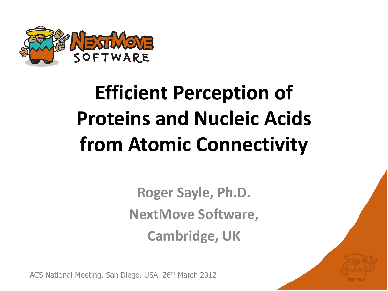

## **Efficient Perception of Proteins and Nucleic Acids from Atomic Connectivity**

**Roger Sayle, Ph.D. NextMove Software, Cambridge, UK**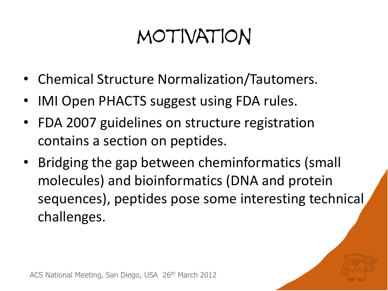#### motivation

- Chemical Structure Normalization/Tautomers.
- IMI Open PHACTS suggest using FDA rules.
- FDA 2007 guidelines on structure registration contains a section on peptides.
- Bridging the gap between cheminformatics (small molecules) and bioinformatics (DNA and protein sequences), peptides pose some interesting technical challenges.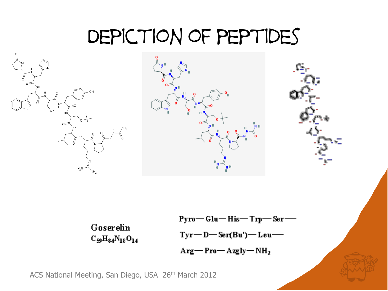#### Depiction of peptides





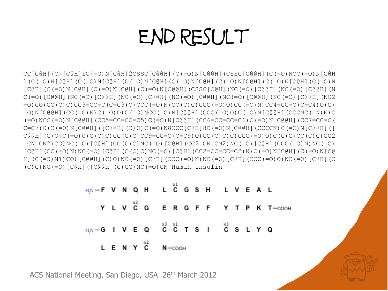#### End Result

CC[C@H](C)[C@H]1C(=O)N[C@H]2CSSC[C@@H](C(=O)N[C@@H](CSSC[C@@H](C(=O)NCC(=O)N[C@H ](C(=O)N[C@H](C(=O)N[C@H](C(=O)N[C@H](C(=O)N[C@H](C(=O)N[C@H](C(=O)N[C@H](C(=O)N  $[CGH]$ (C(=O)N[C@H](C(=O)N[C@H](C(=O)N[C@BH](CSSC[C@H](NC(=O)[C@@H](NC(=O)[C@@H](N C(=O)[C@@H](NC(=O)[C@@H](NC(=O)[C@@H](NC(=O)[C@@H](NC(=O)[C@@H](NC(=O)[C@@H](NC2 =O)CO)CC(C)C)CC3=CC=C(C=C3)O)CCC(=O)N)CC(C)C)CCC(=O)O)CC(=O)N)CC4=CC=C(C=C4)O)C( =O)N[C@@H](CC(=O)N)C(=O)O)C(=O)NCC(=O)N[C@@H](CCC(=O)O)C(=O)N[C@@H](CCCNC(=N)N)C (=O)NCC(=O)N[C@@H](CC5=CC=CC=C5)C(=O)N[C@@H](CC6=CC=CC=C6)C(=O)N[C@@H](CC7=CC=C( C=C7)O)C(=O)N[C@@H]([C@@H](C)O)C(=O)N8CCC[C@H]8C(=O)N[C@@H](CCCCN)C(=O)N[C@@H]([  $C@BH$ ](C)O)C(=O)O)C(C)C)CC(C)C)CC(C)C)CC9=CC=C(C=C9)O)CC(C)C)C)CCC(=O)O)C(C)C)C(C)C)CC(C)C)C2 =CN=CN2)CO)NC(=O)[C@H](CC(C)C)NC(=O)[C@H](CC2=CN=CN2)NC(=O)[C@H](CCC(=O)N)NC(=O)  $[CGH]$ (CC(=O)N)NC(=O)[C@H](C(C)C)NC(=O)[C@H](CC2=CC=CC=C2)N)C(=O)N[C@H](C(=O)N[C@ H](C(=O)N1)CO)[C@@H](C)O)NC(=O)[C@H](CCC(=O)N)NC(=O)[C@H](CCC(=O)O)NC(=O)[C@H](C  $(C)$ C)NC(=O)[C@H]([C@@H](C)CC)NC(=O)CN Human Insulin

| H,N-F V N Q H L $C$ G S H L V E A L                                                                  |  |  |                    |  |  |  |  |                                    |
|------------------------------------------------------------------------------------------------------|--|--|--------------------|--|--|--|--|------------------------------------|
|                                                                                                      |  |  |                    |  |  |  |  | Y L V C G E R G F F Y T P K T-OOOH |
| H <sub>JN</sub> -GIVEQ <sup>x3</sup> $\times$ <sup>3</sup> $\times$ 1 TSI $\times$ <sup>3</sup> SLYQ |  |  |                    |  |  |  |  |                                    |
|                                                                                                      |  |  | L E N Y $C$ N-cooh |  |  |  |  |                                    |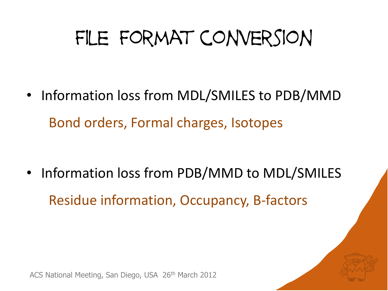## FILE FORMAT CONVERSION

• Information loss from MDL/SMILES to PDB/MMD Bond orders, Formal charges, Isotopes

• Information loss from PDB/MMD to MDL/SMILES Residue information, Occupancy, B-factors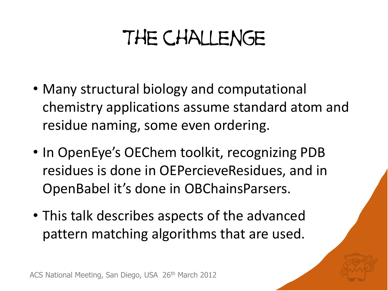## The challenge

- Many structural biology and computational chemistry applications assume standard atom and residue naming, some even ordering.
- In OpenEye's OEChem toolkit, recognizing PDB residues is done in OEPercieveResidues, and in OpenBabel it's done in OBChainsParsers.
- This talk describes aspects of the advanced pattern matching algorithms that are used.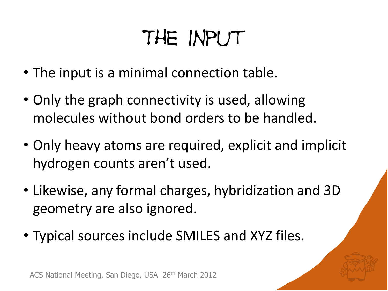## The Input

- The input is a minimal connection table.
- Only the graph connectivity is used, allowing molecules without bond orders to be handled.
- Only heavy atoms are required, explicit and implicit hydrogen counts aren't used.
- Likewise, any formal charges, hybridization and 3D geometry are also ignored.
- Typical sources include SMILES and XYZ files.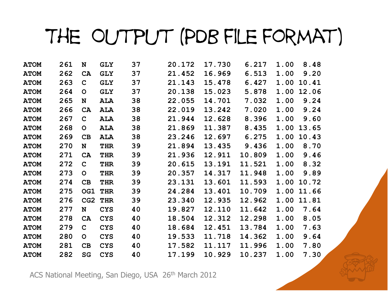### The Output (PDB file format)

| <b>ATOM</b> | 261 | N            | <b>GLY</b> | 37 | 20.172 | 17.730 | 6.217  | 1.00 | 8.48  |
|-------------|-----|--------------|------------|----|--------|--------|--------|------|-------|
| <b>ATOM</b> | 262 | <b>CA</b>    | <b>GLY</b> | 37 | 21.452 | 16.969 | 6.513  | 1.00 | 9.20  |
| <b>ATOM</b> | 263 | $\mathbf C$  | <b>GLY</b> | 37 | 21.143 | 15.478 | 6.427  | 1.00 | 10.41 |
| <b>ATOM</b> | 264 | O            | <b>GLY</b> | 37 | 20.138 | 15.023 | 5.878  | 1.00 | 12.06 |
| <b>ATOM</b> | 265 | N            | <b>ALA</b> | 38 | 22.055 | 14.701 | 7.032  | 1.00 | 9.24  |
| <b>ATOM</b> | 266 | CA           | <b>ALA</b> | 38 | 22.019 | 13.242 | 7.020  | 1.00 | 9.24  |
| <b>ATOM</b> | 267 | $\mathbf C$  | ALA        | 38 | 21.944 | 12.628 | 8.396  | 1.00 | 9.60  |
| <b>ATOM</b> | 268 | $\mathbf{O}$ | ALA        | 38 | 21.869 | 11.387 | 8.435  | 1.00 | 13.65 |
| <b>ATOM</b> | 269 | CB           | <b>ALA</b> | 38 | 23.246 | 12.697 | 6.275  | 1.00 | 10.43 |
| <b>ATOM</b> | 270 | N            | <b>THR</b> | 39 | 21.894 | 13.435 | 9.436  | 1.00 | 8.70  |
| <b>ATOM</b> | 271 | CA           | <b>THR</b> | 39 | 21.936 | 12.911 | 10.809 | 1.00 | 9.46  |
| <b>ATOM</b> | 272 | $\mathbf C$  | THR        | 39 | 20.615 | 13.191 | 11.521 | 1.00 | 8.32  |
| <b>ATOM</b> | 273 | O            | <b>THR</b> | 39 | 20.357 | 14.317 | 11.948 | 1.00 | 9.89  |
| <b>ATOM</b> | 274 | CB           | <b>THR</b> | 39 | 23.131 | 13.601 | 11.593 | 1.00 | 10.72 |
| <b>ATOM</b> | 275 | OG1          | <b>THR</b> | 39 | 24.284 | 13.401 | 10.709 | 1.00 | 11.66 |
| <b>ATOM</b> | 276 | CG2          | <b>THR</b> | 39 | 23.340 | 12.935 | 12.962 | 1.00 | 11.81 |
| <b>ATOM</b> | 277 | N            | <b>CYS</b> | 40 | 19.827 | 12.110 | 11.642 | 1.00 | 7.64  |
| <b>ATOM</b> | 278 | <b>CA</b>    | <b>CYS</b> | 40 | 18.504 | 12.312 | 12.298 | 1.00 | 8.05  |
| <b>ATOM</b> | 279 | $\mathbf C$  | <b>CYS</b> | 40 | 18.684 | 12.451 | 13.784 | 1.00 | 7.63  |
| <b>ATOM</b> | 280 | $\mathsf{O}$ | <b>CYS</b> | 40 | 19.533 | 11.718 | 14.362 | 1.00 | 9.64  |
| <b>ATOM</b> | 281 | CB           | <b>CYS</b> | 40 | 17.582 | 11.117 | 11.996 | 1.00 | 7.80  |
| <b>ATOM</b> | 282 | <b>SG</b>    | <b>CYS</b> | 40 | 17.199 | 10.929 | 10.237 | 1.00 | 7.30  |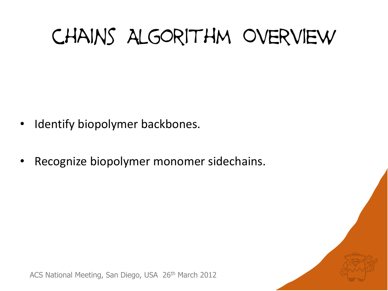## chains Algorithm Overview

- Identify biopolymer backbones.
- Recognize biopolymer monomer sidechains.

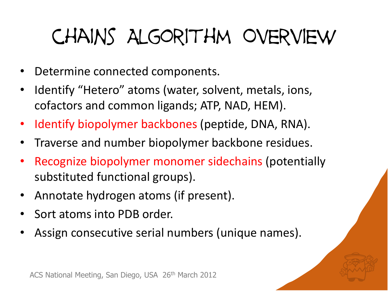## chains Algorithm Overview

- Determine connected components.
- Identify "Hetero" atoms (water, solvent, metals, ions, cofactors and common ligands; ATP, NAD, HEM).
- Identify biopolymer backbones (peptide, DNA, RNA).
- Traverse and number biopolymer backbone residues.
- Recognize biopolymer monomer sidechains (potentially substituted functional groups).
- Annotate hydrogen atoms (if present).
- Sort atoms into PDB order.
- Assign consecutive serial numbers (unique names).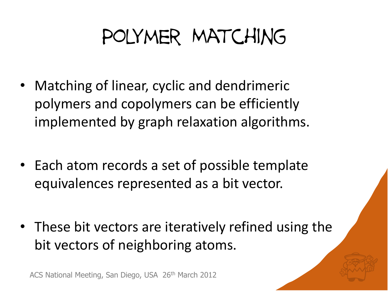## Polymer Matching

- Matching of linear, cyclic and dendrimeric polymers and copolymers can be efficiently implemented by graph relaxation algorithms.
- Each atom records a set of possible template equivalences represented as a bit vector.
- These bit vectors are iteratively refined using the bit vectors of neighboring atoms.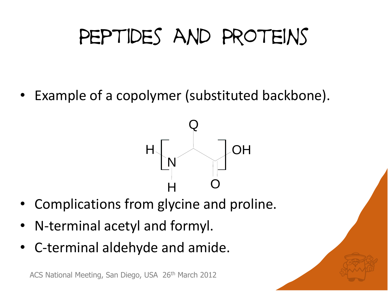## PEPTIDES AND PROTEINS

Example of a copolymer (substituted backbone).



- Complications from glycine and proline.
- N-terminal acetyl and formyl.
- C-terminal aldehyde and amide.

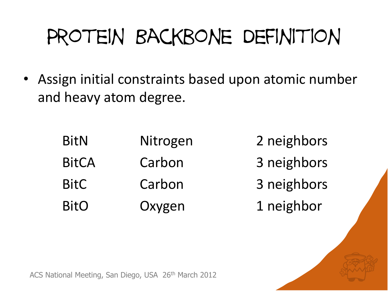## Protein Backbone Definition

• Assign initial constraints based upon atomic number and heavy atom degree.

| <b>BitN</b>  | Nitrogen | 2 neighbors |
|--------------|----------|-------------|
| <b>BitCA</b> | Carbon   | 3 neighbors |
| <b>BitC</b>  | Carbon   | 3 neighbors |
| <b>BitO</b>  | Oxygen   | 1 neighbor  |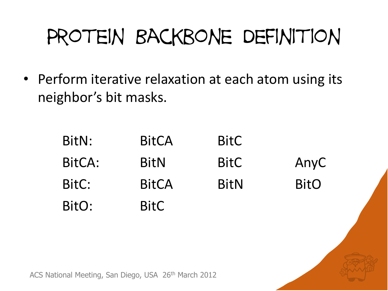## Protein Backbone Definition

• Perform iterative relaxation at each atom using its neighbor's bit masks.

| BitN:  | <b>BitCA</b> | <b>BitC</b> |             |
|--------|--------------|-------------|-------------|
| BitCA: | <b>BitN</b>  | <b>BitC</b> | AnyC        |
| BitC:  | <b>BitCA</b> | <b>BitN</b> | <b>BitO</b> |
| BitO:  | <b>BitC</b>  |             |             |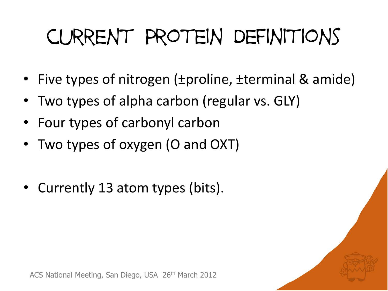# current Protein Definitions

- Five types of nitrogen (±proline, ±terminal & amide)
- Two types of alpha carbon (regular vs. GLY)
- Four types of carbonyl carbon
- Two types of oxygen (O and OXT)
- Currently 13 atom types (bits).

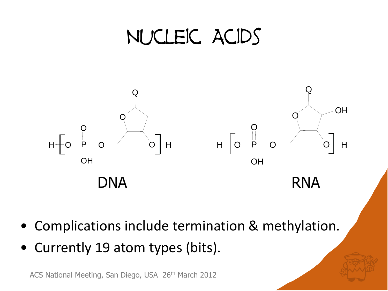#### Nucleic Acids



- Complications include termination & methylation.
- Currently 19 atom types (bits).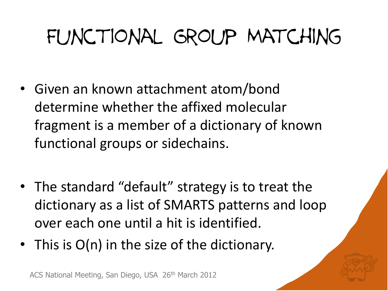## FUNCTIONAL GROUP MATCHING

- Given an known attachment atom/bond determine whether the affixed molecular fragment is a member of a dictionary of known functional groups or sidechains.
- The standard "default" strategy is to treat the dictionary as a list of SMARTS patterns and loop over each one until a hit is identified.
- This is O(n) in the size of the dictionary.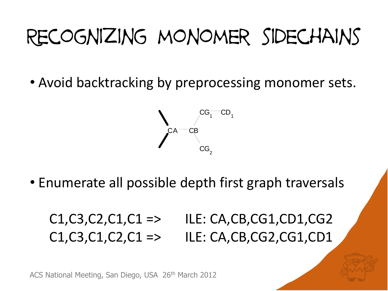## Recognizing monomer sidechains

• Avoid backtracking by preprocessing monomer sets.



• Enumerate all possible depth first graph traversals

#### $C1, C3, C2, C1, C1 \implies \text{ILE: CA, CB, CG1, CD1, CG2}$  $C1, C3, C1, C2, C1 \implies \text{ILE: CA, CB, CG2, CG1, CD1}$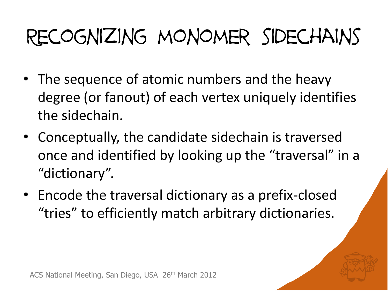## Recognizing monomer sidechains

- The sequence of atomic numbers and the heavy degree (or fanout) of each vertex uniquely identifies the sidechain.
- Conceptually, the candidate sidechain is traversed once and identified by looking up the "traversal" in a "dictionary".
- Encode the traversal dictionary as a prefix-closed "tries" to efficiently match arbitrary dictionaries.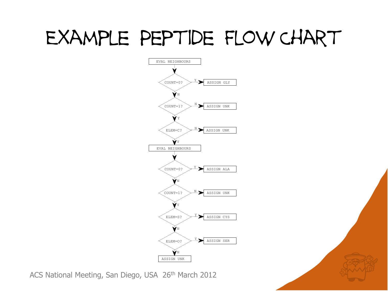#### Example Peptide Flow Chart



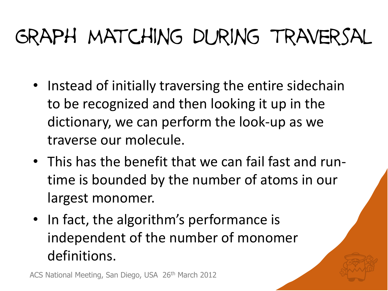## Graph matching during traversal

- Instead of initially traversing the entire sidechain to be recognized and then looking it up in the dictionary, we can perform the look-up as we traverse our molecule.
- This has the benefit that we can fail fast and runtime is bounded by the number of atoms in our largest monomer.
- In fact, the algorithm's performance is independent of the number of monomer definitions.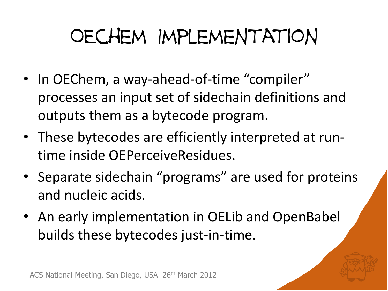## OEchem Implementation

- In OEChem, a way-ahead-of-time "compiler" processes an input set of sidechain definitions and outputs them as a bytecode program.
- These bytecodes are efficiently interpreted at runtime inside OEPerceiveResidues.
- Separate sidechain "programs" are used for proteins and nucleic acids.
- An early implementation in OELib and OpenBabel builds these bytecodes just-in-time.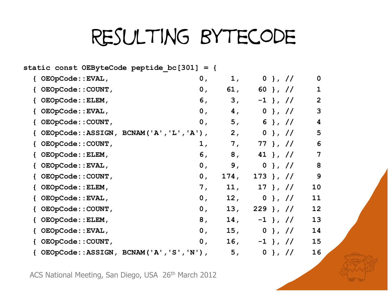#### Resulting Bytecode

|                     | static const OEByteCode peptide bc[301] = { |           |                 |                |
|---------------------|---------------------------------------------|-----------|-----------------|----------------|
| { OEOpCode::EVAL,   | 0,                                          |           | $0$ }, //<br>1, | $\mathbf 0$    |
| { OEOpCode:: COUNT, | 0 <sub>r</sub>                              | 61,       | 60 }, //        | $\mathbf{1}$   |
| OEOpCode:: ELEM,    |                                             | 6,<br>3,  | $-1$ }, //      | $\overline{2}$ |
| { OEOpCode::EVAL,   |                                             | 0,        | 4,<br>$0$ }, // | 3              |
| { OEOpCode:: COUNT, |                                             | 0,        | 5,<br>6 }, $1/$ | 4              |
|                     | { OEOpCode::ASSIGN, BCNAM('A','L','A'),     | 2,        | $0$ }, //       | 5              |
| { OEOpCode:: COUNT, |                                             | 1,        | 7, 77}, //      | 6              |
| { OEOpCode:: ELEM,  |                                             | 6,        | 8, 41 }, //     | 7              |
| { OEOpCode::EVAL,   |                                             | 0,        | 9, 0, 1, 11     | 8              |
| { OEOpCode:: COUNT, | 0,                                          | 174,      | $173$ }, //     | 9              |
| { OEOpCode:: ELEM,  | 7,                                          |           | $11, 17$ , $1/$ | 10             |
| { OEOpCode::EVAL,   | 0,                                          | 12,       | $0$ }, //       | 11             |
| { OEOpCode:: COUNT, |                                             | 13,<br>0, | $229$ }, //     | 12             |
| { OEOpCode:: ELEM,  |                                             | 8,        | $14, -1$ , $1/$ | 13             |
| { OEOpCode::EVAL,   | 0 <sub>r</sub>                              |           | 15, 0, 1, 1/    | 14             |
| { OEOpCode:: COUNT, | 0 <sub>r</sub>                              |           | $16, -1$ , $/$  | 15             |
|                     | { OEOpCode::ASSIGN, BCNAM('A','S','N'),     |           | 5,<br>$0$ }, // | 16             |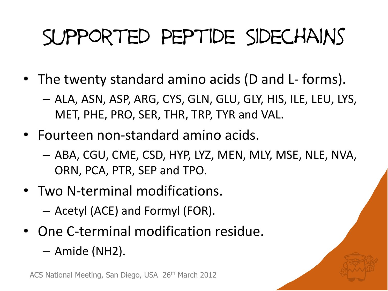## Supported Peptide Sidechains

- The twenty standard amino acids (D and L- forms).
	- ALA, ASN, ASP, ARG, CYS, GLN, GLU, GLY, HIS, ILE, LEU, LYS, MET, PHE, PRO, SER, THR, TRP, TYR and VAL.
- Fourteen non-standard amino acids.
	- ABA, CGU, CME, CSD, HYP, LYZ, MEN, MLY, MSE, NLE, NVA, ORN, PCA, PTR, SEP and TPO.
- Two N-terminal modifications.
	- Acetyl (ACE) and Formyl (FOR).
- One C-terminal modification residue.
	- Amide (NH2).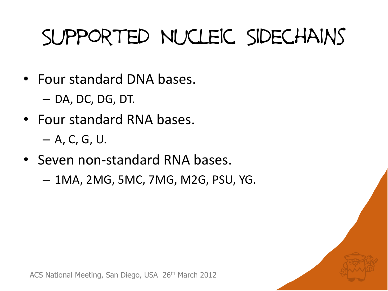## Supported Nucleic Sidechains

- Four standard DNA bases.
	- DA, DC, DG, DT.
- Four standard RNA bases.
	- A, C, G, U.
- Seven non-standard RNA bases.
	- 1MA, 2MG, 5MC, 7MG, M2G, PSU, YG.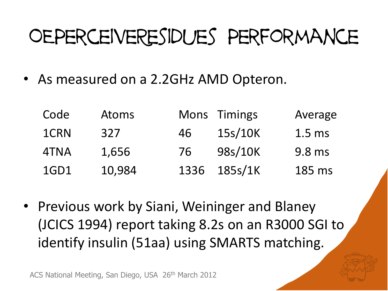### OEPerceiveResidues Performance

• As measured on a 2.2GHz AMD Opteron.

| Code | <b>Atoms</b> |    | Mons Timings | Average           |
|------|--------------|----|--------------|-------------------|
| 1CRN | 327          | 46 | 15s/10K      | 1.5 <sub>ms</sub> |
| 4TNA | 1,656        | 76 | 98s/10K      | 9.8 ms            |
| 1GD1 | 10,984       |    | 1336 185s/1K | 185 ms            |

• Previous work by Siani, Weininger and Blaney (JCICS 1994) report taking 8.2s on an R3000 SGI to identify insulin (51aa) using SMARTS matching.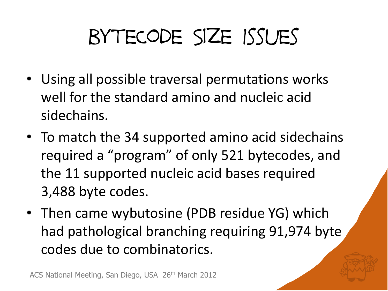## byteCode Size Issues

- Using all possible traversal permutations works well for the standard amino and nucleic acid sidechains.
- To match the 34 supported amino acid sidechains required a "program" of only 521 bytecodes, and the 11 supported nucleic acid bases required 3,488 byte codes.
- Then came wybutosine (PDB residue YG) which had pathological branching requiring 91,974 byte codes due to combinatorics.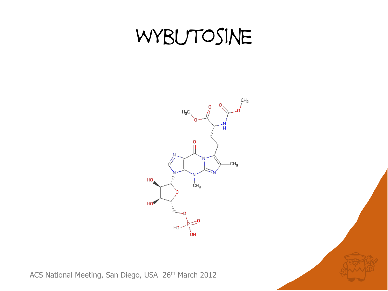#### WYBUTOSINE

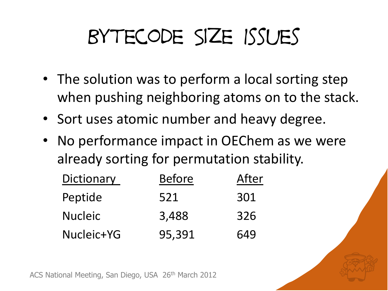## Bytecode Size Issues

- The solution was to perform a local sorting step when pushing neighboring atoms on to the stack.
- Sort uses atomic number and heavy degree.
- No performance impact in OEChem as we were already sorting for permutation stability.

| Dictionary     | <b>Before</b> | After |
|----------------|---------------|-------|
| Peptide        | 521           | 301   |
| <b>Nucleic</b> | 3,488         | 326   |
| Nucleic+YG     | 95,391        | 649   |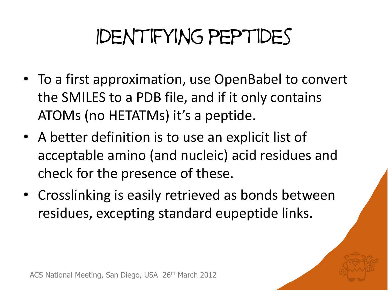## Identifying peptides

- To a first approximation, use OpenBabel to convert the SMILES to a PDB file, and if it only contains ATOMs (no HETATMs) it's a peptide.
- A better definition is to use an explicit list of acceptable amino (and nucleic) acid residues and check for the presence of these.
- Crosslinking is easily retrieved as bonds between residues, excepting standard eupeptide links.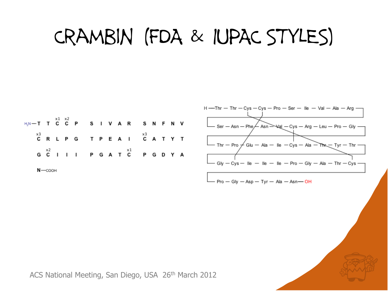#### Crambin (FDA & IUPAC STYLES)





$$
- Pro-Gly - Asp - Tyr - Ala - Asn - OH
$$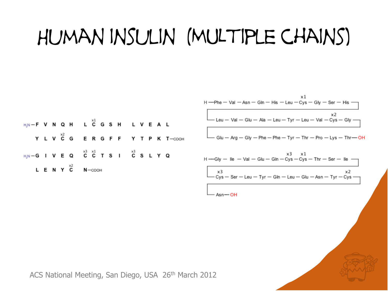## Human insulin (MULtiple chains)

$$
H \rightarrow Phe - Val - Asn - Gh - His - Leu - Cys - Gly - Ser - His
$$
\n
$$
Leu - Val - Glu - Ala - Leu - Tyr - Leu - Val - Cys - Gly
$$
\n
$$
Glu - Arg - Gly - Phe - Phe - Tyr - Thr - Pro - Lys - Thr - OH
$$

$$
H \rightarrow Gly - \text{lle} - \text{Val} - \text{Glu} - \text{Gln} - \text{Cys} - \text{Cys} - \text{Thr} - \text{Ser} - \text{lle}
$$
\n
$$
X^3
$$
\n
$$
X^3
$$
\n
$$
X^3
$$
\n
$$
X^2
$$
\n
$$
Cys - \text{Ser} - \text{Leu} - \text{Tyr} - \text{Gln} - \text{Leu} - \text{Glu} - \text{Asn} - \text{Tyr} - \text{Cys} - \text{Na} - \text{Na} - \text{Na} - \text{Na} - \text{Na} - \text{Na} - \text{Na} - \text{Na} - \text{Na} - \text{Na} - \text{Na} - \text{Na} - \text{Na} - \text{Na} - \text{Na} - \text{Na} - \text{Na} - \text{Na} - \text{Na} - \text{Na} - \text{Na} - \text{Na} - \text{Na} - \text{Na} - \text{Na} - \text{Na} - \text{Na} - \text{Na} - \text{Na} - \text{Na} - \text{Na} - \text{Na} - \text{Na} - \text{Na} - \text{Na} - \text{Na} - \text{Na} - \text{Na} - \text{Na} - \text{Na} - \text{Na} - \text{Na} - \text{Na} - \text{Na} - \text{Na} - \text{Na} - \text{Na} - \text{Na} - \text{Na} - \text{Na} - \text{Na} - \text{Na} - \text{Na} - \text{Na} - \text{Na} - \text{Na} - \text{Na} - \text{Na} - \text{Na} - \text{Na} - \text{Na} - \text{Na} - \text{Na} - \text{Na} - \text{Na} - \text{Na} - \text{Na} - \text{Na} - \text{Na} - \text{Na} - \text{Na} - \text{Na} - \text{Na} - \text{Na} - \text{Na} - \text{Na} - \text{Na} - \text{Na} - \text{Na} - \text{Na} - \text{Na} - \text{Na} - \text{Na} - \text{Na} - \text{Na} - \text{Na} - \text{Na} - \text{Na} - \text{Na} - \text{Na} - \text{Na} - \text{Na} - \text{Na} - \text{Na} - \text{Na} -
$$

 $Asn$  -  $OH$ 

ACS National Meeting, San Diego, USA 26th March 2012

 $H,N-F$  V N Q H L  $C$  G S H L V E A L

H\_N --G I V E Q  $\overline{C}$  C C T S I  $\overline{C}$  S L Y Q

 $N$  -  $\sim$   $\sim$   $\sim$ 

L E N Y C

Y L V C G E R G F F Y T P K T-COOH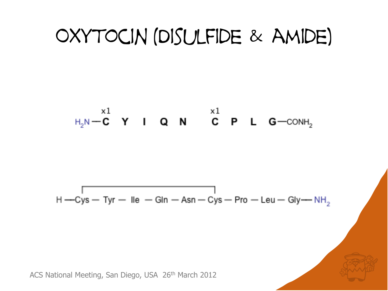#### Oxytocin (Disulfide & amide)

$$
H_2N \xrightarrow{X1} Y \qquad I \qquad Q \qquad N \qquad \overset{X1}{C} \qquad P \qquad L \qquad G \xrightarrow{CONH_2}
$$

$$
H - C
$$
ys – Tyr – lle – GIn – Asn – Cys – Pro – Leu – Gly— NH<sub>2</sub>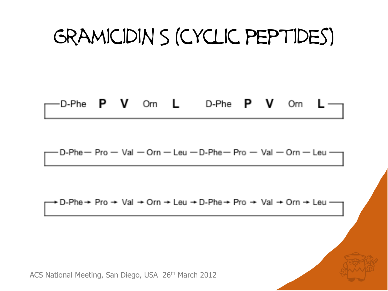#### Gramicidin S (cyclic peptides)

#### **P V** Orn L D-Phe **P V** Orn D-Phe

D-Phe  $-$  Pro  $-$  Val  $-$  Orn  $-$  Leu  $-$  D-Phe  $-$  Pro  $-$  Val  $-$  Orn  $-$  Leu  $-$ 

+ D-Phe → Pro → Val → Orn → Leu → D-Phe → Pro → Val → Orn → Leu —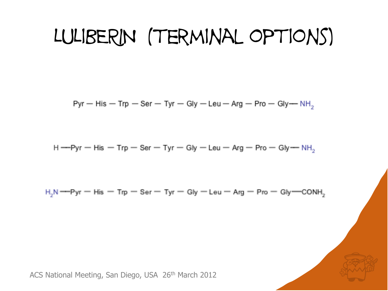#### LULIBERIN (TERMINAL OPTIONS)

Pyr - His - Trp - Ser - Tyr - Gly - Leu - Arg - Pro - Gly -  $NH_2$ 

$$
H \rightarrow Pyr - His - Trp - Ser - Tyr - Gly - Leu - Arg - Pro - Gly - NH
$$

 $H_2N$  ---Pyr – His – Trp – Ser – Tyr – Gly – Leu – Arg – Pro – Gly – CONH<sub>2</sub>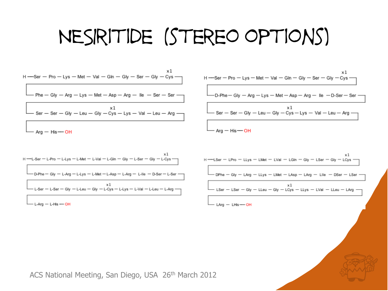#### NESIritide (stereo options)

| x1<br>H --Ser - Pro - Lys - Met - Val - Gln - Gly - Ser - Gly - Cys --            |
|-----------------------------------------------------------------------------------|
| $\boxed{\phantom{a}}$ Phe – Gly – Arg – Lys – Met – Asp – Arg – Ile – Ser – Ser – |
| $\Box$ Ser – Ser – Gly – Leu – Gly – Cys – Lys – Val – Leu – Arg –                |
| $-$ Arg $-$ His $-$ OH                                                            |

$$
H \rightarrow \text{Ser} - \text{Pro} - \text{Lys} - \text{Met} - \text{Val} - \text{Gln} - \text{Gly} - \text{Ser} - \text{Gly} - \text{Cys}
$$
\n

| D-Phe-Gly                                                                                                                             | Arg - \text{Lys} - \text{Met} - \text{Asp} - \text{Arg} - \text{lle} - \text{D-Ser} - \text{Ser} |
|---------------------------------------------------------------------------------------------------------------------------------------|--------------------------------------------------------------------------------------------------|
| SET - \text{Ser} - \text{Gly} - \text{Gly} - \text{Lgu} - \text{Gly} - \text{Cys} - \text{Lys} - \text{Val} - \text{Leu} - \text{Arg} |                                                                                                  |
| Arg - \text{His} \rightarrow \text{OH}                                                                                                |                                                                                                  |

x1 H-LSer - LPro - LLys - LMet - LVal - LGIn - Giy - LSer - Giy - LCys - DPhe - Gly - LArg - LLys - LMet - LAsp - LArg - LIIe - DSer - LSer хı - LSer - LSer - Gly - LLeu - Gly - LCys - LLys - LVal - LLeu - LArg -- LArg - LHis - OH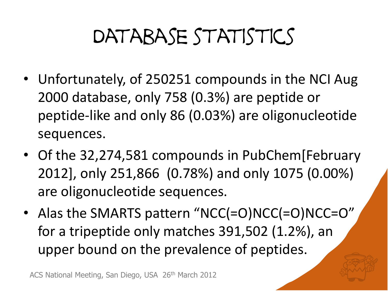## DATABASE STATISTICS

- Unfortunately, of 250251 compounds in the NCI Aug 2000 database, only 758 (0.3%) are peptide or peptide-like and only 86 (0.03%) are oligonucleotide sequences.
- Of the 32,274,581 compounds in PubChem[February 2012], only 251,866 (0.78%) and only 1075 (0.00%) are oligonucleotide sequences.
- Alas the SMARTS pattern "NCC(=O)NCC(=O)NCC=O" for a tripeptide only matches 391,502 (1.2%), an upper bound on the prevalence of peptides.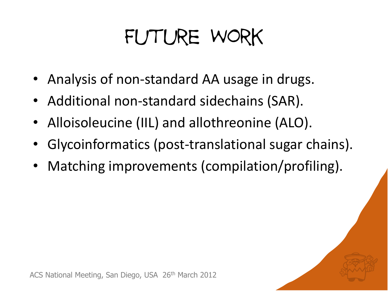## Future Work

- Analysis of non-standard AA usage in drugs.
- Additional non-standard sidechains (SAR).
- Alloisoleucine (IIL) and allothreonine (ALO).
- Glycoinformatics (post-translational sugar chains).
- Matching improvements (compilation/profiling).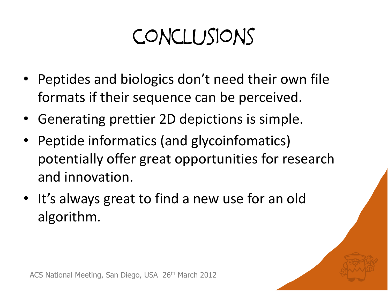## conclusions

- Peptides and biologics don't need their own file formats if their sequence can be perceived.
- Generating prettier 2D depictions is simple.
- Peptide informatics (and glycoinfomatics) potentially offer great opportunities for research and innovation.
- It's always great to find a new use for an old algorithm.